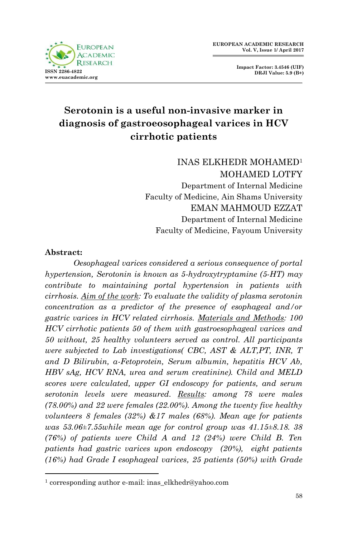

**Impact Factor: 3.4546 (UIF) DRJI Value: 5.9 (B+)**

# **Serotonin is a useful non-invasive marker in diagnosis of gastroeosophageal varices in HCV cirrhotic patients**

INAS ELKHEDR MOHAMED<sup>1</sup> MOHAMED LOTFY Department of Internal Medicine Faculty of Medicine, Ain Shams University EMAN MAHMOUD EZZAT Department of Internal Medicine Faculty of Medicine, Fayoum University

### **Abstract:**

1

*Oesophageal varices considered a serious consequence of portal hypertension, Serotonin is known as 5-hydroxytryptamine (5-HT) may contribute to maintaining portal hypertension in patients with cirrhosis. Aim of the work: To evaluate the validity of plasma serotonin concentration as a predictor of the presence of esophageal and/or gastric varices in HCV related cirrhosis. Materials and Methods: 100 HCV cirrhotic patients 50 of them with gastroesophageal varices and 50 without, 25 healthy volunteers served as control. All participants were subjected to Lab investigations( CBC, AST & ALT,PT, INR, T and D Bilirubin, α-Fetoprotein, Serum albumin, hepatitis HCV Ab, HBV sAg, HCV RNA, urea and serum creatinine). Child and MELD scores were calculated, upper GI endoscopy for patients, and serum serotonin levels were measured. Results: among 78 were males (78.00%) and 22 were females (22.00%). Among the twenty five healthy volunteers 8 females (32%) &17 males (68%). Mean age for patients was 53.06±7.55while mean age for control group was 41.15±8.18. 38 (76%) of patients were Child A and 12 (24%) were Child B. Ten patients had gastric varices upon endoscopy (20%), eight patients (16%) had Grade I esophageal varices, 25 patients (50%) with Grade* 

<sup>1</sup> corresponding author e-mail: inas\_elkhedr@yahoo.com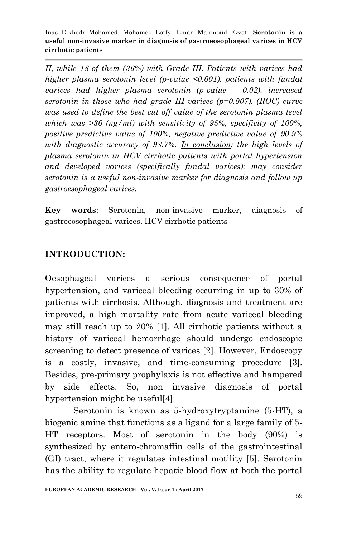*II, while 18 of them (36%) with Grade III. Patients with varices had higher plasma serotonin level (p-value <0.001). patients with fundal varices had higher plasma serotonin (p-value = 0.02). increased serotonin in those who had grade III varices (p=0.007). (ROC) curve was used to define the best cut off value of the serotonin plasma level which was >30 (ng/ml) with sensitivity of 95%, specificity of 100%, positive predictive value of 100%, negative predictive value of 90.9% with diagnostic accuracy of 98.7%. In conclusion: the high levels of plasma serotonin in HCV cirrhotic patients with portal hypertension and developed varices (specifically fundal varices); may consider serotonin is a useful non-invasive marker for diagnosis and follow up gastroesophageal varices.*

**Key words**: Serotonin, non-invasive marker, diagnosis of gastroeosophageal varices, HCV cirrhotic patients

# **INTRODUCTION:**

Oesophageal varices a serious consequence of portal hypertension, and variceal bleeding occurring in up to 30% of patients with cirrhosis. Although, diagnosis and treatment are improved, a high mortality rate from acute variceal bleeding may still reach up to 20% [1]. All cirrhotic patients without a history of variceal hemorrhage should undergo endoscopic screening to detect presence of varices [2]. However, Endoscopy is a costly, invasive, and time-consuming procedure [3]. Besides, pre-primary prophylaxis is not effective and hampered by side effects. So, non invasive diagnosis of portal hypertension might be useful[4].

Serotonin is known as 5-hydroxytryptamine (5-HT), a biogenic amine that functions as a ligand for a large family of 5- HT receptors. Most of serotonin in the body (90%) is synthesized by entero-chromaffin cells of the gastrointestinal (GI) tract, where it regulates intestinal motility [5]. Serotonin has the ability to regulate hepatic blood flow at both the portal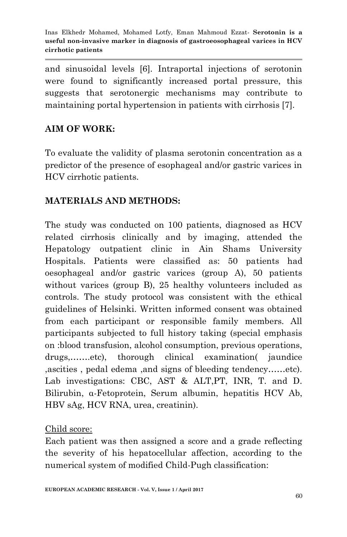and sinusoidal levels [6]. Intraportal injections of serotonin were found to significantly increased portal pressure, this suggests that serotonergic mechanisms may contribute to maintaining portal hypertension in patients with cirrhosis [7].

# **AIM OF WORK:**

To evaluate the validity of plasma serotonin concentration as a predictor of the presence of esophageal and/or gastric varices in HCV cirrhotic patients.

# **MATERIALS AND METHODS:**

The study was conducted on 100 patients, diagnosed as HCV related cirrhosis clinically and by imaging, attended the Hepatology outpatient clinic in Ain Shams University Hospitals. Patients were classified as: 50 patients had oesophageal and/or gastric varices (group A), 50 patients without varices (group B), 25 healthy volunteers included as controls. The study protocol was consistent with the ethical guidelines of Helsinki. Written informed consent was obtained from each participant or responsible family members. All participants subjected to full history taking (special emphasis on :blood transfusion, alcohol consumption, previous operations, drugs,…….etc), thorough clinical examination( jaundice ,ascities , pedal edema ,and signs of bleeding tendency……etc). Lab investigations: CBC, AST & ALT, PT, INR, T. and D. Bilirubin, α-Fetoprotein, Serum albumin, hepatitis HCV Ab, HBV sAg, HCV RNA, urea, creatinin).

## Child score:

Each patient was then assigned a score and a grade reflecting the severity of his hepatocellular affection, according to the numerical system of modified Child-Pugh classification: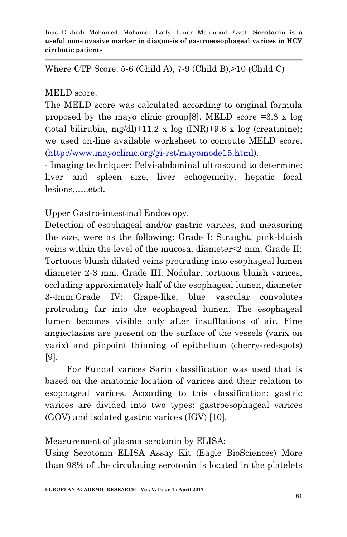Where CTP Score: 5-6 (Child A), 7-9 (Child B),>10 (Child C)

## MELD score:

The MELD score was calculated according to original formula proposed by the mayo clinic group [8]. MELD score  $=3.8 \times \log$ (total bilirubin, mg/dl)+11.2 x log (INR)+9.6 x log (creatinine); we used on-line available worksheet to compute MELD score. [\(http://www.mayoclinic.org/gi-rst/mayomode15.html\)](http://www.mayoclinic.org/gi-rst/mayomode15.html).

- Imaging techniques: Pelvi-abdominal ultrasound to determine: liver and spleen size, liver echogenicity, hepatic focal lesions,…..etc).

Upper Gastro-intestinal Endoscopy.

Detection of esophageal and/or gastric varices, and measuring the size, were as the following: Grade I: Straight, pink-bluish veins within the level of the mucosa, diameter≤2 mm. Grade II: Tortuous bluish dilated veins protruding into esophageal lumen diameter 2-3 mm. Grade III: Nodular, tortuous bluish varices, occluding approximately half of the esophageal lumen, diameter 3-4mm.Grade IV: Grape-like, blue vascular convolutes protruding far into the esophageal lumen. The esophageal lumen becomes visible only after insufflations of air. Fine angiectasias are present on the surface of the vessels (varix on varix) and pinpoint thinning of epithelium (cherry-red-spots) [9].

 For Fundal varices Sarin classification was used that is based on the anatomic location of varices and their relation to esophageal varices. According to this classification; gastric varices are divided into two types: gastroesophageal varices (GOV) and isolated gastric varices (IGV) [10].

# Measurement of plasma serotonin by ELISA:

Using Serotonin ELISA Assay Kit (Eagle BioSciences) More than 98% of the circulating serotonin is located in the platelets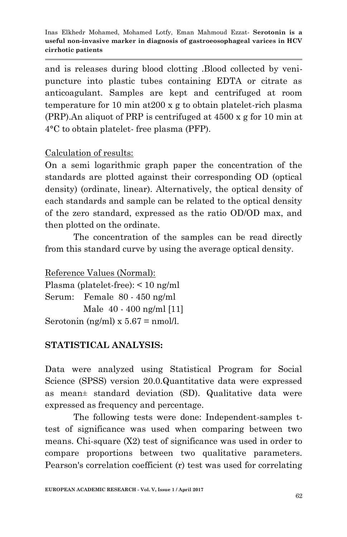and is releases during blood clotting .Blood collected by venipuncture into plastic tubes containing EDTA or citrate as anticoagulant. Samples are kept and centrifuged at room temperature for 10 min at200 x g to obtain platelet-rich plasma (PRP).An aliquot of PRP is centrifuged at 4500 x g for 10 min at 4°C to obtain platelet- free plasma (PFP).

Calculation of results:

On a semi logarithmic graph paper the concentration of the standards are plotted against their corresponding OD (optical density) (ordinate, linear). Alternatively, the optical density of each standards and sample can be related to the optical density of the zero standard, expressed as the ratio OD/OD max, and then plotted on the ordinate.

The concentration of the samples can be read directly from this standard curve by using the average optical density.

Reference Values (Normal): Plasma (platelet-free): < 10 ng/ml Serum: Female 80 - 450 ng/ml Male 40 - 400 ng/ml [11] Serotonin (ng/ml)  $x 5.67 =$ nmol/l.

# **STATISTICAL ANALYSIS:**

Data were analyzed using Statistical Program for Social Science (SPSS) version 20.0.Quantitative data were expressed as mean± standard deviation (SD). Qualitative data were expressed as frequency and percentage.

The following tests were done: Independent-samples ttest of significance was used when comparing between two means. Chi-square (X2) test of significance was used in order to compare proportions between two qualitative parameters. Pearson's correlation coefficient (r) test was used for correlating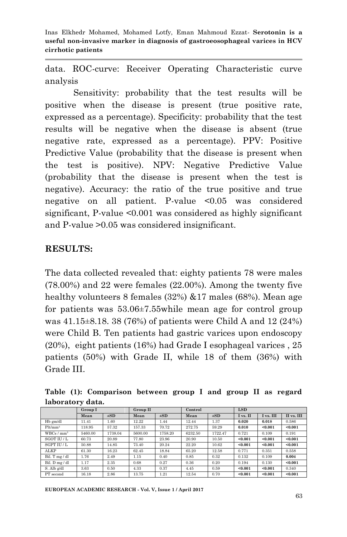data. ROC-curve: Receiver Operating Characteristic curve analysis

Sensitivity: probability that the test results will be positive when the disease is present (true positive rate, expressed as a percentage). Specificity: probability that the test results will be negative when the disease is absent (true negative rate, expressed as a percentage). PPV: Positive Predictive Value (probability that the disease is present when the test is positive). NPV: Negative Predictive Value (probability that the disease is present when the test is negative). Accuracy: the ratio of the true positive and true negative on all patient. P-value <0.05 was considered significant, P-value <0.001 was considered as highly significant and P-value >0.05 was considered insignificant.

## **RESULTS:**

The data collected revealed that: eighty patients 78 were males (78.00%) and 22 were females (22.00%). Among the twenty five healthy volunteers 8 females (32%) &17 males (68%). Mean age for patients was 53.06±7.55while mean age for control group was 41.15±8.18. 38 (76%) of patients were Child A and 12 (24%) were Child B. Ten patients had gastric varices upon endoscopy (20%), eight patients (16%) had Grade I esophageal varices , 25 patients (50%) with Grade II, while 18 of them (36%) with Grade III.

**Table (1): Comparison between group I and group II as regard laboratory data.**

|                      | <b>Group I</b> |          | Group II |          |         | Control  |          | <b>LSD</b> |            |  |
|----------------------|----------------|----------|----------|----------|---------|----------|----------|------------|------------|--|
|                      | Mean           | $\pm SD$ | Mean     | $\pm SD$ | Mean    | $\pm SD$ | I vs. II | I vs. III  | II vs. III |  |
| Hb gm/dl             | 11.41          | 1.60     | 12.22    | 1.44     | 12.44   | 1.37     | 0.020    | 0.018      | 0.586      |  |
| $Plt/mm^3$           | 118.95         | 57.32    | 157.33   | 70.72    | 272.75  | 59.29    | 0.010    | < 0.001    | < 0.001    |  |
| WBCs/mm <sup>3</sup> | 5460.00        | 1738.04  | 5600.00  | 1758.20  | 6232.50 | 1722.47  | 0.721    | 0.109      | 0.191      |  |
| SGOT III/L           | 60.73          | 20.89    | 77.80    | 23.96    | 20.90   | 10.50    | < 0.001  | < 0.001    | < 0.001    |  |
| SGPT IU / L          | 50.88          | 14.85    | 73.40    | 20.24    | 22.20   | 10.62    | < 0.001  | < 0.001    | < 0.001    |  |
| ALKP                 | 61.30          | 16.23    | 62.45    | 18.84    | 65.20   | 12.58    | 0.771    | 0.351      | 0.558      |  |
| Bil. T mg / dl       | 1.76           | 2.49     | 1.15     | 0.40     | 0.85    | 0.32     | 0.132    | 0.109      | 0.004      |  |
| Bil. D mg / dl       | 1.17           | 2.35     | 0.68     | 0.27     | 0.36    | 0.20     | 0.194    | 0.130      | < 0.001    |  |
| S. Alb g/dl          | 3.63           | 0.50     | 4.33     | 0.37     | 4.45    | 0.59     | < 0.001  | < 0.001    | 0.340      |  |
| PT second            | 16.18          | 2.86     | 13.75    | 1.21     | 12.54   | 0.70     | < 0.001  | < 0.001    | < 0.001    |  |

**EUROPEAN ACADEMIC RESEARCH - Vol. V, Issue 1 / April 2017**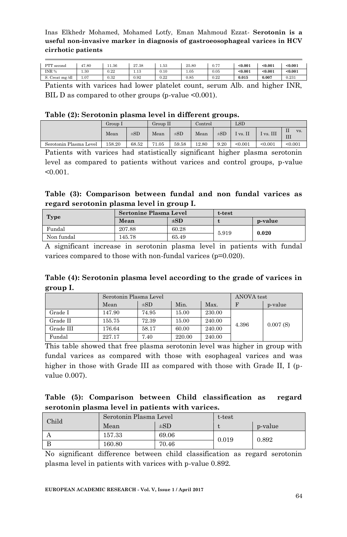| --<br>___            | . .   |       |                         |      |       |                | $\cdot$ $\cdot$ $\cdot$ |         | ----    |
|----------------------|-------|-------|-------------------------|------|-------|----------------|-------------------------|---------|---------|
| Creat mg/dl          | 1.07  | 0.32  | 0.92                    | 0.22 | 0.85  | 0.22           | 0.015                   | 0.007   | 0.231   |
| INR %                | 1.30  | 1.22  | 1.13                    | 0.10 | 1.05  | 0.05           | < 0.001                 | < 0.001 | < 0.001 |
| <b>DTT</b><br>second | 47.80 | 11.36 | 0 <sub>7</sub><br>27.38 | 1.53 | 25.80 | $\cdots$<br>v. | < 0.001                 | < 0.001 | < 0.001 |

Patients with varices had lower platelet count, serum Alb. and higher INR, BIL D as compared to other groups (p-value <0.001).

#### **Table (2): Serotonin plasma level in different groups.**

|                        |         |          |                     | .        |       |          |          |         |               |  |
|------------------------|---------|----------|---------------------|----------|-------|----------|----------|---------|---------------|--|
|                        | Group I |          | Group II<br>Control |          | LSD   |          |          |         |               |  |
|                        | Mean    | $\pm SD$ | Mean                | $\pm SD$ | Mean  | $\pm$ SD | I vs. II | vs. III | П<br>VS.<br>Ш |  |
| Serotonin Plasma Level | 158.20  | 68.52    | 71.05               | 59.58    | 12.80 | 9.20     | < 0.001  | < 0.001 | < 0.001       |  |

Patients with varices had statistically significant higher plasma serotonin level as compared to patients without varices and control groups, p-value  $< 0.001$ .

### **Table (3): Comparison between fundal and non fundal varices as regard serotonin plasma level in group I.**

| Type       | <b>Sertonine Plasma Level</b> |          | t-test |         |  |
|------------|-------------------------------|----------|--------|---------|--|
|            | Mean                          | $\pm SD$ |        | p-value |  |
| Fundal     | 207.88                        | 60.28    | 5.919  | 0.020   |  |
| Non fundal | 145.78                        | 65.49    |        |         |  |

A significant increase in serotonin plasma level in patients with fundal varices compared to those with non-fundal varices (p=0.020).

**Table (4): Serotonin plasma level according to the grade of varices in group I.**

|           | Serotonin Plasma Level |          | ANOVA test |        |       |          |
|-----------|------------------------|----------|------------|--------|-------|----------|
|           | Mean                   | $\pm SD$ | Min.       | Max.   |       | p-value  |
| Grade I   | 147.90                 | 74.95    | 15.00      | 230.00 |       |          |
| Grade II  | 155.75                 | 72.39    | 15.00      | 240.00 | 4.396 | 0.007(S) |
| Grade III | 176.64                 | 58.17    | 60.00      | 240.00 |       |          |
| Fundal    | 227.17                 | 7.40     | 220.00     | 240.00 |       |          |

This table showed that free plasma serotonin level was higher in group with fundal varices as compared with those with esophageal varices and was higher in those with Grade III as compared with those with Grade II, I (pvalue 0.007).

### **Table (5): Comparison between Child classification as regard serotonin plasma level in patients with varices.**

| Child | Serotonin Plasma Level |          | t-test |         |  |
|-------|------------------------|----------|--------|---------|--|
|       | Mean                   | $\pm SD$ |        | p-value |  |
|       | 157.33                 | 69.06    | 0.019  | 0.892   |  |
|       | 160.80                 | 70.46    |        |         |  |

No significant difference between child classification as regard serotonin plasma level in patients with varices with p-value 0.892.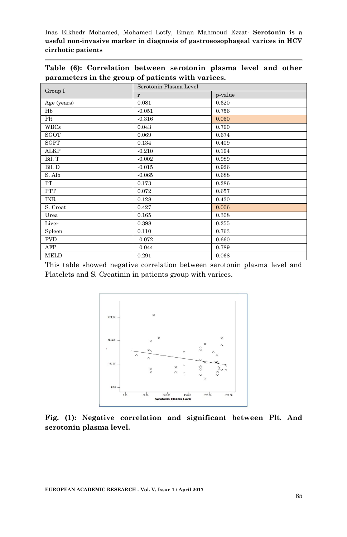**Table (6): Correlation between serotonin plasma level and other parameters in the group of patients with varices.**

|             | Serotonin Plasma Level |         |  |  |  |
|-------------|------------------------|---------|--|--|--|
| Group I     | r                      | p-value |  |  |  |
| Age (years) | 0.081                  | 0.620   |  |  |  |
| Hb          | $-0.051$               | 0.756   |  |  |  |
| Plt         | $-0.316$               | 0.050   |  |  |  |
| <b>WBCs</b> | 0.043                  | 0.790   |  |  |  |
| <b>SGOT</b> | 0.069                  | 0.674   |  |  |  |
| <b>SGPT</b> | 0.134                  | 0.409   |  |  |  |
| <b>ALKP</b> | $-0.210$               | 0.194   |  |  |  |
| Bil. T      | $-0.002$               | 0.989   |  |  |  |
| Bil. D      | $-0.015$               | 0.926   |  |  |  |
| S. Alb      | $-0.065$               | 0.688   |  |  |  |
| PT          | 0.173                  | 0.286   |  |  |  |
| PTT         | 0.072                  | 0.657   |  |  |  |
| <b>INR</b>  | 0.128                  | 0.430   |  |  |  |
| S. Creat    | 0.427                  | 0.006   |  |  |  |
| Urea        | 0.165                  | 0.308   |  |  |  |
| Liver       | 0.398                  | 0.255   |  |  |  |
| Spleen      | 0.110                  | 0.763   |  |  |  |
| <b>PVD</b>  | $-0.072$               | 0.660   |  |  |  |
| AFP         | $-0.044$               | 0.789   |  |  |  |
| MELD        | 0.291                  | 0.068   |  |  |  |

This table showed negative correlation between serotonin plasma level and Platelets and S. Creatinin in patients group with varices.



**Fig. (1): Negative correlation and significant between Plt. And serotonin plasma level.**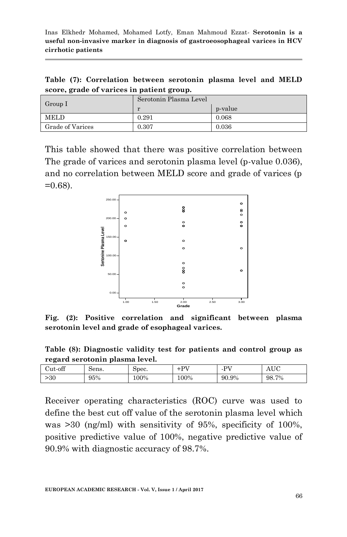**Table (7): Correlation between serotonin plasma level and MELD score, grade of varices in patient group.**

| $\Gamma$ Group I        | Serotonin Plasma Level |         |  |  |  |
|-------------------------|------------------------|---------|--|--|--|
|                         |                        | p-value |  |  |  |
| <b>MELD</b>             | 0.291                  | 0.068   |  |  |  |
| <b>Grade of Varices</b> | 0.307                  | 0.036   |  |  |  |

This table showed that there was positive correlation between The grade of varices and serotonin plasma level (p-value 0.036), and no correlation between MELD score and grade of varices (p  $=0.68$ ).



**Fig. (2): Positive correlation and significant between plasma serotonin level and grade of esophageal varices.**

**Table (8): Diagnostic validity test for patients and control group as regard serotonin plasma level.**

| ຼ       |       |       |       |                        |                   |
|---------|-------|-------|-------|------------------------|-------------------|
| Cut-off | Sens. | Spec. | $+DT$ | DV <sub>7</sub><br>- - | <b>TTO</b><br>nov |
| >30     | 95%   | 100%  | 100%  | 90.9%                  | 98.7%             |

Receiver operating characteristics (ROC) curve was used to define the best cut off value of the serotonin plasma level which was >30 (ng/ml) with sensitivity of 95%, specificity of 100%, positive predictive value of 100%, negative predictive value of 90.9% with diagnostic accuracy of 98.7%.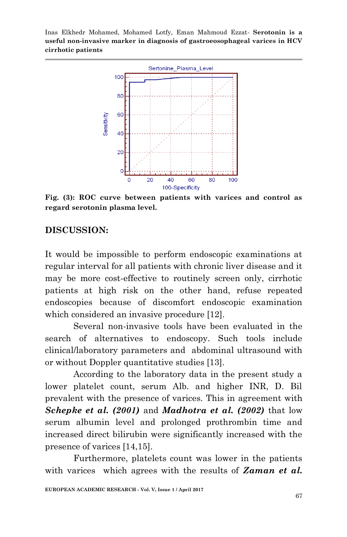

**Fig. (3): ROC curve between patients with varices and control as regard serotonin plasma level.**

## **DISCUSSION:**

It would be impossible to perform endoscopic examinations at regular interval for all patients with chronic liver disease and it may be more cost-effective to routinely screen only, cirrhotic patients at high risk on the other hand, refuse repeated endoscopies because of discomfort endoscopic examination which considered an invasive procedure [12].

Several non-invasive tools have been evaluated in the search of alternatives to endoscopy. Such tools include clinical/laboratory parameters and abdominal ultrasound with or without Doppler quantitative studies [13].

According to the laboratory data in the present study a lower platelet count, serum Alb. and higher INR, D. Bil prevalent with the presence of varices. This in agreement with *Schepke et al. (2001)* and *Madhotra et al. (2002)* that low serum albumin level and prolonged prothrombin time and increased direct bilirubin were significantly increased with the presence of varices [14,15].

Furthermore, platelets count was lower in the patients with varices which agrees with the results of *Zaman et al.*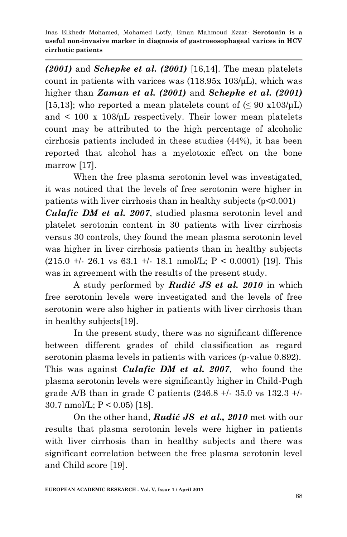*(2001)* and *Schepke et al. (2001)* [16,14]. The mean platelets count in patients with varices was (118.95x 103/μL), which was higher than *Zaman et al. (2001)* and *Schepke et al. (2001)* [15,13]; who reported a mean platelets count of  $(\leq 90 \text{ x}103/\mu\text{L})$ and  $\lt$  100 x 103/μL respectively. Their lower mean platelets count may be attributed to the high percentage of alcoholic cirrhosis patients included in these studies (44%), it has been reported that alcohol has a myelotoxic effect on the bone marrow [17].

When the free plasma serotonin level was investigated, it was noticed that the levels of free serotonin were higher in patients with liver cirrhosis than in healthy subjects (p<0.001) *Culafic DM et al. 2007*, studied plasma serotonin level and platelet serotonin content in 30 patients with liver cirrhosis versus 30 controls, they found the mean plasma serotonin level was higher in liver cirrhosis patients than in healthy subjects  $(215.0 + 26.1 \text{ vs } 63.1 + 18.1 \text{ nmol/L}; P < 0.0001)$  [19]. This was in agreement with the results of the present study.

A study performed by *Rudić JS et al. 2010* in which free serotonin levels were investigated and the levels of free serotonin were also higher in patients with liver cirrhosis than in healthy subjects[19].

 In the present study, there was no significant difference between different grades of child classification as regard serotonin plasma levels in patients with varices (p-value 0.892). This was against *Culafic DM et al. 2007*, who found the plasma serotonin levels were significantly higher in Child-Pugh grade A/B than in grade C patients  $(246.8 + 1.35.0 \text{ vs } 132.3 + 1.5)$ 30.7 nmol/L; P < 0.05) [18].

On the other hand, *Rudić JS et al., 2010* met with our results that plasma serotonin levels were higher in patients with liver cirrhosis than in healthy subjects and there was significant correlation between the free plasma serotonin level and Child score [19].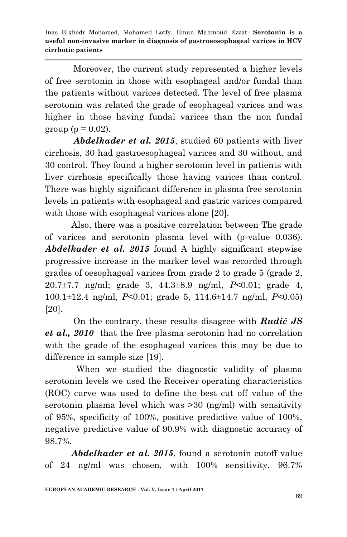Moreover, the current study represented a higher levels of free serotonin in those with esophageal and/or fundal than the patients without varices detected. The level of free plasma serotonin was related the grade of esophageal varices and was higher in those having fundal varices than the non fundal group ( $p = 0.02$ ).

*Abdelkader et al. 2015*, studied 60 patients with liver cirrhosis, 30 had gastroesophageal varices and 30 without, and 30 control. They found a higher serotonin level in patients with liver cirrhosis specifically those having varices than control. There was highly significant difference in plasma free serotonin levels in patients with esophageal and gastric varices compared with those with esophageal varices alone [20].

 Also, there was a positive correlation between The grade of varices and serotonin plasma level with (p-value 0.036). *Abdelkader et al. 2015* found A highly significant stepwise progressive increase in the marker level was recorded through grades of oesophageal varices from grade 2 to grade 5 (grade 2, 20.7±7.7 ng/ml; grade 3, 44.3±8.9 ng/ml, *P*<0.01; grade 4, 100.1±12.4 ng/ml, *P*<0.01; grade 5, 114.6±14.7 ng/ml, *P*<0.05) [20].

On the contrary, these results disagree with *Rudić JS et al., 2010* that the free plasma serotonin had no correlation with the grade of the esophageal varices this may be due to difference in sample size [19].

 When we studied the diagnostic validity of plasma serotonin levels we used the Receiver operating characteristics (ROC) curve was used to define the best cut off value of the serotonin plasma level which was >30 (ng/ml) with sensitivity of 95%, specificity of 100%, positive predictive value of 100%, negative predictive value of 90.9% with diagnostic accuracy of 98.7%.

 *Abdelkader et al. 2015*, found a serotonin cutoff value of 24 ng/ml was chosen, with 100% sensitivity, 96.7%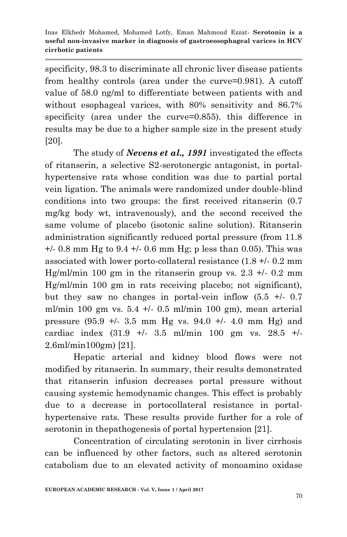specificity, 98.3 to discriminate all chronic liver disease patients from healthy controls (area under the curve=0.981). A cutoff value of 58.0 ng/ml to differentiate between patients with and without esophageal varices, with 80% sensitivity and 86.7% specificity (area under the curve=0.855). this difference in results may be due to a higher sample size in the present study [20].

The study of *Nevens et al., 1991* investigated the effects of ritanserin, a selective S2-serotonergic antagonist, in portalhypertensive rats whose condition was due to partial portal vein ligation. The animals were randomized under double-blind conditions into two groups: the first received ritanserin (0.7 mg/kg body wt, intravenously), and the second received the same volume of placebo (isotonic saline solution). Ritanserin administration significantly reduced portal pressure (from 11.8  $+/- 0.8$  mm Hg to 9.4  $+/- 0.6$  mm Hg; p less than 0.05). This was associated with lower porto-collateral resistance (1.8 +/- 0.2 mm Hg/ml/min 100 gm in the ritanserin group vs.  $2.3 +1$ - 0.2 mm Hg/ml/min 100 gm in rats receiving placebo; not significant), but they saw no changes in portal-vein inflow  $(5.5 + 0.7)$ ml/min 100 gm vs.  $5.4 +/- 0.5$  ml/min 100 gm), mean arterial pressure  $(95.9 +/- 3.5 \text{ mm Hg vs. } 94.0 +/- 4.0 \text{ mm Hg})$  and cardiac index (31.9 +/- 3.5 ml/min 100 gm vs. 28.5 +/- 2.6ml/min100gm) [21].

Hepatic arterial and kidney blood flows were not modified by ritanserin. In summary, their results demonstrated that ritanserin infusion decreases portal pressure without causing systemic hemodynamic changes. This effect is probably due to a decrease in portocollateral resistance in portalhypertensive rats. These results provide further for a role of serotonin in thepathogenesis of portal hypertension [21].

Concentration of circulating serotonin in liver cirrhosis can be influenced by other factors, such as altered serotonin catabolism due to an elevated activity of monoamino oxidase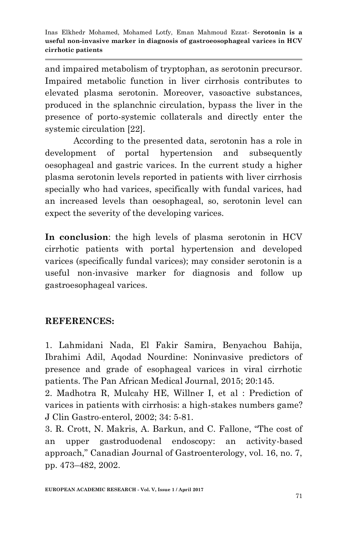and impaired metabolism of tryptophan, as serotonin precursor. Impaired metabolic function in liver cirrhosis contributes to elevated plasma serotonin. Moreover, vasoactive substances, produced in the splanchnic circulation, bypass the liver in the presence of porto-systemic collaterals and directly enter the systemic circulation [22].

 According to the presented data, serotonin has a role in development of portal hypertension and subsequently oesophageal and gastric varices. In the current study a higher plasma serotonin levels reported in patients with liver cirrhosis specially who had varices, specifically with fundal varices, had an increased levels than oesophageal, so, serotonin level can expect the severity of the developing varices.

**In conclusion**: the high levels of plasma serotonin in HCV cirrhotic patients with portal hypertension and developed varices (specifically fundal varices); may consider serotonin is a useful non-invasive marker for diagnosis and follow up gastroesophageal varices.

# **REFERENCES:**

1. Lahmidani Nada, El Fakir Samira, Benyachou Bahija, Ibrahimi Adil, Aqodad Nourdine: Noninvasive predictors of presence and grade of esophageal varices in viral cirrhotic patients. The Pan African Medical Journal, 2015; 20:145.

2. Madhotra R, Mulcahy HE, Willner I, et al : Prediction of varices in patients with cirrhosis: a high-stakes numbers game? J Clin Gastro-enterol, 2002; 34: 5-81.

3. R. Crott, N. Makris, A. Barkun, and C. Fallone, "The cost of an upper gastroduodenal endoscopy: an activity-based approach," Canadian Journal of Gastroenterology, vol. 16, no. 7, pp. 473–482, 2002.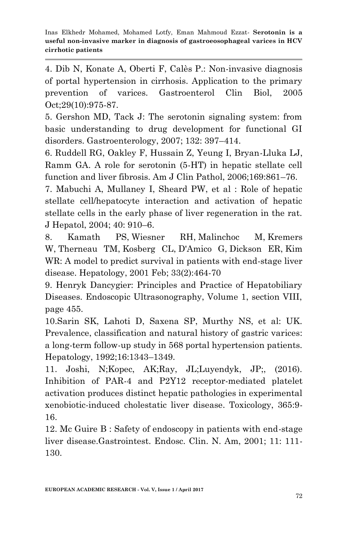4. Dib N, Konate A, Oberti F, Calès P.: Non-invasive diagnosis of portal hypertension in cirrhosis. Application to the primary prevention of varices. Gastroenterol Clin Biol, 2005 Oct;29(10):975-87.

5. Gershon MD, Tack J: The serotonin signaling system: from basic understanding to drug development for functional GI disorders. Gastroenterology, 2007; 132: 397–414.

6. Ruddell RG, Oakley F, Hussain Z, Yeung I, Bryan-Lluka LJ, Ramm GA. A role for serotonin (5-HT) in hepatic stellate cell function and liver fibrosis. Am J Clin Pathol, 2006;169:861–76.

7. Mabuchi A, Mullaney I, Sheard PW, et al : Role of hepatic stellate cell/hepatocyte interaction and activation of hepatic stellate cells in the early phase of liver regeneration in the rat. J Hepatol, 2004; 40: 910–6.

8. [Kamath PS,](https://www.ncbi.nlm.nih.gov/pubmed/?term=Kamath%20PS%5BAuthor%5D&cauthor=true&cauthor_uid=11172350) [Wiesner RH,](https://www.ncbi.nlm.nih.gov/pubmed/?term=Wiesner%20RH%5BAuthor%5D&cauthor=true&cauthor_uid=11172350) [Malinchoc M,](https://www.ncbi.nlm.nih.gov/pubmed/?term=Malinchoc%20M%5BAuthor%5D&cauthor=true&cauthor_uid=11172350) [Kremers](https://www.ncbi.nlm.nih.gov/pubmed/?term=Kremers%20W%5BAuthor%5D&cauthor=true&cauthor_uid=11172350)  [W,](https://www.ncbi.nlm.nih.gov/pubmed/?term=Kremers%20W%5BAuthor%5D&cauthor=true&cauthor_uid=11172350) [Therneau TM,](https://www.ncbi.nlm.nih.gov/pubmed/?term=Therneau%20TM%5BAuthor%5D&cauthor=true&cauthor_uid=11172350) [Kosberg CL,](https://www.ncbi.nlm.nih.gov/pubmed/?term=Kosberg%20CL%5BAuthor%5D&cauthor=true&cauthor_uid=11172350) [D'Amico G,](https://www.ncbi.nlm.nih.gov/pubmed/?term=D%27Amico%20G%5BAuthor%5D&cauthor=true&cauthor_uid=11172350) [Dickson ER,](https://www.ncbi.nlm.nih.gov/pubmed/?term=Dickson%20ER%5BAuthor%5D&cauthor=true&cauthor_uid=11172350) [Kim](https://www.ncbi.nlm.nih.gov/pubmed/?term=Kim%20WR%5BAuthor%5D&cauthor=true&cauthor_uid=11172350)  [WR:](https://www.ncbi.nlm.nih.gov/pubmed/?term=Kim%20WR%5BAuthor%5D&cauthor=true&cauthor_uid=11172350) A model to predict survival in patients with end-stage liver disease. [Hepatology,](https://www.ncbi.nlm.nih.gov/pubmed/11172350) 2001 Feb; 33(2):464-70

9. Henryk Dancygier: Principles and Practice of Hepatobiliary Diseases. Endoscopic Ultrasonography, Volume 1, section VIII, page 455.

10.Sarin SK, Lahoti D, Saxena SP, Murthy NS, et al: UK. Prevalence, classification and natural history of gastric varices: a long-term follow-up study in 568 portal hypertension patients. Hepatology, 1992;16:1343–1349.

11. [Joshi, N;Kopec, AK;Ray, JL;Luyendyk, JP;, \(2016\).](http://www.sciencedirect.com/science/article/pii/S0300483X16301561)  [Inhibition of PAR-4 and P2Y12 receptor-mediated platelet](http://www.sciencedirect.com/science/article/pii/S0300483X16301561)  [activation produces distinct hepatic pathologies in experimental](http://www.sciencedirect.com/science/article/pii/S0300483X16301561)  [xenobiotic-induced cholestatic liver disease. Toxicology, 365:9-](http://www.sciencedirect.com/science/article/pii/S0300483X16301561) [16.](http://www.sciencedirect.com/science/article/pii/S0300483X16301561)

12. Mc Guire B : Safety of endoscopy in patients with end-stage liver disease.Gastrointest. Endosc. Clin. N. Am, 2001; 11: 111- 130.